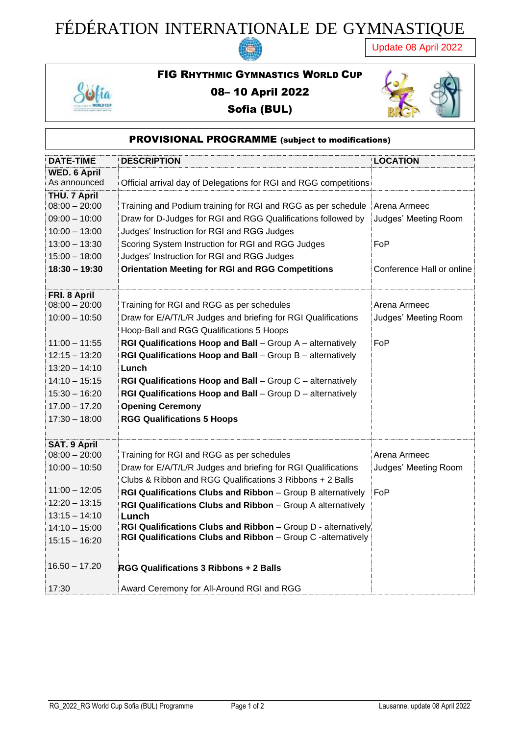## FÉDÉRATION INTERNATIONALE DE GYMNASTIQUE

Update 08 April 2022



## FIG RHYTHMIC GYMNASTICS WORLD CUP

08– 10 April 2022

Sofia (BUL)



| <b>PROVISIONAL PROGRAMME</b> (subject to modifications)                                                                                                                                 |                                                                                                                                                                                                                                                                                                                                                                                                                                                                                                                                                             |                                                                          |  |
|-----------------------------------------------------------------------------------------------------------------------------------------------------------------------------------------|-------------------------------------------------------------------------------------------------------------------------------------------------------------------------------------------------------------------------------------------------------------------------------------------------------------------------------------------------------------------------------------------------------------------------------------------------------------------------------------------------------------------------------------------------------------|--------------------------------------------------------------------------|--|
| <b>DATE-TIME</b>                                                                                                                                                                        | <b>DESCRIPTION</b>                                                                                                                                                                                                                                                                                                                                                                                                                                                                                                                                          | <b>LOCATION</b>                                                          |  |
| <b>WED. 6 April</b><br>As announced                                                                                                                                                     | Official arrival day of Delegations for RGI and RGG competitions                                                                                                                                                                                                                                                                                                                                                                                                                                                                                            |                                                                          |  |
| <b>THU. 7 April</b><br>$08:00 - 20:00$<br>$09:00 - 10:00$<br>$10:00 - 13:00$<br>$13:00 - 13:30$<br>$15:00 - 18:00$<br>$18:30 - 19:30$                                                   | Training and Podium training for RGI and RGG as per schedule<br>Draw for D-Judges for RGI and RGG Qualifications followed by<br>Judges' Instruction for RGI and RGG Judges<br>Scoring System Instruction for RGI and RGG Judges<br>Judges' Instruction for RGI and RGG Judges<br><b>Orientation Meeting for RGI and RGG Competitions</b>                                                                                                                                                                                                                    | Arena Armeec<br>Judges' Meeting Room<br>FoP<br>Conference Hall or online |  |
| FRI. 8 April<br>$08:00 - 20:00$<br>$10:00 - 10:50$<br>$11:00 - 11:55$<br>$12:15 - 13:20$<br>$13:20 - 14:10$<br>$14:10 - 15:15$<br>$15:30 - 16:20$<br>$17.00 - 17.20$<br>$17:30 - 18:00$ | Training for RGI and RGG as per schedules<br>Draw for E/A/T/L/R Judges and briefing for RGI Qualifications<br>Hoop-Ball and RGG Qualifications 5 Hoops<br>RGI Qualifications Hoop and Ball - Group A - alternatively<br>RGI Qualifications Hoop and Ball - Group B - alternatively<br>Lunch<br>RGI Qualifications Hoop and Ball - Group C - alternatively<br>RGI Qualifications Hoop and Ball - Group D - alternatively<br><b>Opening Ceremony</b><br><b>RGG Qualifications 5 Hoops</b>                                                                     | Arena Armeec<br>Judges' Meeting Room<br>FoP                              |  |
| <b>SAT. 9 April</b><br>$08:00 - 20:00$<br>$10:00 - 10:50$<br>$11:00 - 12:05$<br>$12:20 - 13:15$<br>$13:15 - 14:10$<br>$14:10 - 15:00$<br>$15:15 - 16:20$<br>$16.50 - 17.20$<br>17:30    | Training for RGI and RGG as per schedules<br>Draw for E/A/T/L/R Judges and briefing for RGI Qualifications<br>Clubs & Ribbon and RGG Qualifications 3 Ribbons + 2 Balls<br><b>RGI Qualifications Clubs and Ribbon - Group B alternatively</b><br><b>RGI Qualifications Clubs and Ribbon</b> - Group A alternatively<br>Lunch<br>RGI Qualifications Clubs and Ribbon - Group D - alternatively<br>RGI Qualifications Clubs and Ribbon - Group C -alternatively<br><b>RGG Qualifications 3 Ribbons + 2 Balls</b><br>Award Ceremony for All-Around RGI and RGG | Arena Armeec<br>Judges' Meeting Room<br>FoP                              |  |